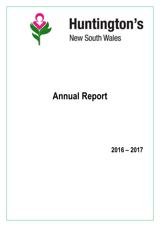

# **Huntington's New South Wales**

# **Annual Report**

**2016 – 2017**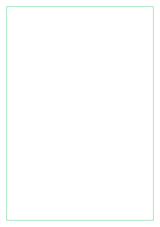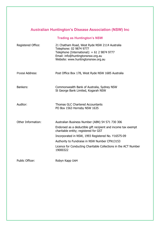# **Australian Huntington's Disease Association (NSW) Inc**

# **Trading as Huntington's NSW**

| Registered Office:     | 21 Chatham Road, West Ryde NSW 2114 Australia<br>Telephone: 02 9874 9777<br>Telephone (International): + 61 2 9874 9777<br>Email: info@huntingtonsnsw.org.au<br>Website: www.huntingtonsnsw.org.au |
|------------------------|----------------------------------------------------------------------------------------------------------------------------------------------------------------------------------------------------|
| Postal Address:        | Post Office Box 178, West Ryde NSW 1685 Australia                                                                                                                                                  |
| Bankers:               | Commonwealth Bank of Australia, Sydney NSW<br>St George Bank Limited, Kogarah NSW                                                                                                                  |
| Auditor:               | <b>Thomas GLC Chartered Accountants</b><br>PO Box 1563 Hornsby NSW 1635                                                                                                                            |
| Other Information:     | Australian Business Number (ABN) 54 571 730 306                                                                                                                                                    |
|                        | Endorsed as a deductible gift recipient and income tax exempt<br>charitable entity; registered for GST                                                                                             |
|                        | Incorporated in NSW, 1993 Registered No. Y16575-09                                                                                                                                                 |
|                        | Authority to Fundraise in NSW Number CFN13153                                                                                                                                                      |
|                        | Licence for Conducting Charitable Collections in the ACT Number<br>19000322                                                                                                                        |
| <b>Public Officer:</b> | Robyn Kapp OAM                                                                                                                                                                                     |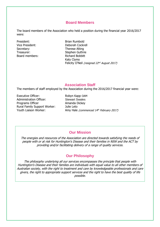# **Board Members**

The board members of the Association who held a position during the financial year 2016/2017 were:

President: Brian Rumbold Secretary: Therese Alting Board members: Richard Bobbitt

Vice President: Deborah Cockrell Treasurer: Stephen Guthrie Katy Clymo Felicity O'Neil (resigned 22<sup>nd</sup> August 2017)

# **Association Staff**

The members of staff employed by the Association during the 2016/2017 financial year were:

Executive Officer: Robyn Kapp OAM Administration Officer: Stewart Swales Programs Officer **Amanda Dickey** Rural Family Support Worker: Julie Leto

Youth Liaison Worker: Amy Hale (commenced 14<sup>th</sup> February 2017)

# **Our Mission**

The energies and resources of the Association are directed towards satisfying the needs of people with or at risk for Huntington's Disease and their families in NSW and the ACT by providing and/or facilitating delivery of a range of quality services.

# **Our Philosophy**

The philosophy underlying all our services encompasses the principle that people with Huntington's Disease and their families are individuals with equal value to all other members of Australian society, with the right to treatment and care by knowledgeable professionals and care givers, the right to appropriate support services and the right to have the best quality of life possible.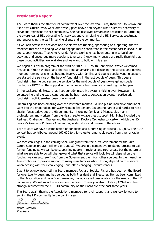# **President's Report**

The Board thanks the staff for its commitment over the last year. First, thank you to Robyn, our Executive Officer, who, week after week, goes above and beyond what is strictly necessary to serve and represent the HD community. She has displayed remarkable dedication to furthering the awareness of HD, advocating for services and championing the HD Service at Westmead, and encouraging the staff in serving clients and the community.

As we look across the activities and events we are running, sponsoring or supporting, there's evidence that we are finding ways to engage more people than in the recent past in social clubs and support groups. Thanks to Amanda for the work she has been putting in to build our activities and encourage more people to take part. I know many people are really thankful that these group activities are available and we want to build on this area.

We began our Youth program at the start of 2017 – HD Youth Connection. We've welcomed Amy as our Youth Worker, and she has done an amazing job designing the service, and getting it up-and-running as she has become involved with families and young people wanting support. We started the service on the back of fundraising in the last couple of years. This year's fundraising has helped secure the service for the next couple of years—we get no special funding for HDYC, so the support of the community has been vital in making this happen.

In the background, Stewart has kept our administrative systems ticking over. However, his volunteering and the extra contributions he has made to Association events—particularly fundraising activities—has been phenomenal.

Fundraising has been amazing over the last three months. Pauline put an incredible amount of work into the preparations for Walk4Hope in September. It's getting harder and harder to raise charity funds today, but the HD community—including family and friends, plus many professionals and workers from the Health sector—gave great support. Highlights included the Redhead Challenge in Orange and the Australian Doctors Orchestra concert—in which the HD Service's Associate Professor Clement Loy added style and finesse to the oboes.

Year-to-date we have a combination of donations and fundraising of around \$179,000. The ADO concert has contributed around \$60,000 to this—a quite remarkable result from a remarkable event.

We face challenges in the coming year. Our grant from the NSW Government for the Rural Carers Support program will end on June 30. We are in a competitive tendering process to gain further funding so we can keep supporting people in regional and rural areas, but the nature of what we are able to do will change—and what that service will look like will depend on the funding we can secure—if not from the Government then from other sources. In the meantime, Julie continues to provide support to many rural families who, I know, depend on this service when dealing with their challenging—and often changing—circumstances.

I want to acknowledge retiring Board member, Richard Bobbitt. Richard has been on the Board for over twenty years and has served as both President and Treasurer. He has been committed to the Association and, as a Board member, has advocated passionately for the needs of the HD community. We will miss his wisdom on the Board. Thank you also to Felicity O'Neil who has strongly represented the ACT HD community on the Board over the past three years.

The Board again thanks the Association's members for their support, and we look forward to serving the HD community in the coming year.

Brian Rumbold President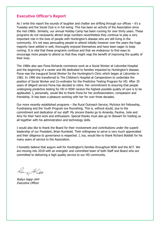# **Executive Officer's Report**

As I write this report the sounds of laughter and chatter are drifting through our offices – it's a Tuesday and the Social Club is in full swing. This has been an activity of the Association since the mid-1980s. Similarly, our annual Holiday Camp has been running for over thirty years. These programs do not necessarily attract large numbers nevertheless they continue to play a very important role in the lives of people with Huntington's disease who are still living in the community. It's not easy persuading people to attend initially however over the years the huge majority have settled in well, thoroughly enjoyed themselves and have been eager to keep coming. It is vital that these programs continue and that we endeavour to find ways to encourage more people to attend so that they might reap the benefit of improving the quality of their lives.

The 1980s also saw Fiona Richards commence work as a Social Worker at Lidcombe Hospital and the beginning of a career and life dedicated to families impacted by Huntington's disease. Fiona was the inaugural Social Worker for the Huntington's Clinic which began at Lidcombe in 1982. In 1990 she transferred to The Children's Hospital at Camperdown to undertake the position of Social Worker and Co-ordinator for the Predictive Testing Program for HD. After 35 years of diligent service Fiona has decided to retire. Her commitment to ensuring that people undergoing predictive testing for HD in NSW receive the highest possible quality of care is to be applauded. I, personally, would like to thank Fiona for her professionalism, compassion and friendship. It has been a pleasure working with her for over three decades.

Our more recently established programs – the Rural Outreach Service, MyVoice Art Fellowship, Fundraising and the Youth Program are flourishing. This is, without doubt, due to the commitment and dedication of our staff. My sincere thanks go to Amanda, Pauline, Julie and Amy for their hard work and enthusiasm. Special thanks must also go to Stewart for holding us all together with his administration and technology skills.

I would also like to thank the Board for their involvement and contributions under the superb leadership of our President, Brian Rumbold. Their willingness to serve is very much appreciated and their diligence to governance is respected. I, too, would like to thank Richard Bobbitt for his many years of service to the Association.

I honestly believe that augurs well for Huntington's families throughout NSW and the ACT. We are moving into 2018 with an energetic and committed team of both Staff and Board who are committed to delivering a high quality service to our HD community.

Rough Kapp

Robyn Kapp OAM Executive Officer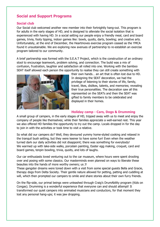# **Social and Support Programs**

# **Social club**

Our Social club welcomed another new member into their fortnightly hang-out. This program is for adults in the early stages of HD, and is designed to alleviate the social isolation that is experienced with having HD. In a social setting our people enjoy a friendly meal, card and board games, trivia, footy tipping, indoor games like: bowls, quoits, darts, bowling; and creative arts. Unfortunately, at the end of December, the Heartmoves exercise program ceased as the YMCA found it unsustainable. We are exploring new avenues of partnership to re-establish an exercise program tailored to our community.

A brief partnership was formed with the S.E.A.T Project, which is the construction of an ordinary stool to encourage teamwork, problem solving, and connection. The build was a mix of confusion, frustration, laughter and satisfaction all rolled into one. Working with the bamboo SEAT itself allowed each person the opportunity to realise they can still create something with



their own hands… an art that is often lost due to HD. In designing the SEAT decoration, we had the privilege of listening to their stories of life, family, travel, likes, dislikes, talents, and memories; revealing their true personalities. The decoration saw all this represented on the SEATs and then the SEAT was gifted to family members to be celebrated and displayed in their homes.

# **Holiday camp - Cars, Dogs & Drumming**

A small group of campers, in the early stages of HD, tripped away with us to meet and enjoy the company of people like themselves; while their families appreciate a well-earned rest. This year we also offered HD families the opportunity to try out the camp. Locals dropped in for the day to join in with the activities or took time to visit a relative.

So what did our campers do? Well, they devoured yummy home-styled cooking and relaxed in the tranquil bush setting, but they were keener to have some fun! Even when the weather turned dark our daily activities did not disappoint; there was something for everybody! We warmed up with lake-side walks, porcelain painting, Easter egg making, croquet, card and board games, tenpin bowling, trivia, quoits, and lots of laughs.

Our car enthusiasts loved venturing out to the car museum, where hours were spent drooling over and posing with some classics. Our masterminds even planned on ways to liberate these beauties into the hands of more worthy owners; us J!

These gangster dreams were toned down with a visit from some special guests Bella and Gracie, therapy dogs from Delta Society. Their gentle nature allowed for petting, patting and cuddling at will, which then prompted our campers to smile and share stories about their own furry friends.

On the flip-side, our primal beings were unleashed through Craig's DrumAbility program (Kids on Congas). Drumming is a wonderful experience that everyone can and should attempt! It transformed our quiet campers into animated musicians and conductors, for that moment they lost any personal hang-ups; it was jaw dropping.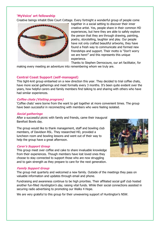#### **'MyVoice' art fellowship**

Creative beings inhabit Elsie Court Cottage. Every fortnight a wonderful group of people come



together in a social setting to discover their inner creative artist. Yes, people share in their common HD experiences, but here they are able to safely explore the person that they are through drawing, painting, poetry, storytelling, laughter and play. Our people have not only crafted beautiful artworks, they have found a fresh way to communicate and formed new friendships and support. Their motto is "Don't worry we are here!" and this represents this unique experience.

Thanks to Stephen Dernocoure, our art facilitator, for

making every meeting an adventure into remembering whom we truly are.

# **Central Coast Support (self-managed)**

This tight-knit group embarked on a new direction this year. They decided to trial coffee chats, have more social gatherings and meet formally every 3 months. It's been quite evident over the years, how helpful carers and family members find talking to and sharing with others who have had similar experiences.

#### **Coffee chats (Visiting program)**

'Coffee chats' were borne from the want to get together at more convenient times. The group have been successful in reconnecting with members who were feeling isolated.

#### **Social gatherings**

After a successful picnic with family and friends, came their inaugural Barefoot Bowls day.

The group would like to thank management, staff and bowling club members, of Davidson RSL. They researched HD, provided a luncheon room and bowling lessons and went out of their way to help the group have a great afternoon.

#### **Carer's Support Group**

This group meet over coffee and cake to share invaluable knowledge from their experiences. Though members have lost loved ones they choose to stay connected to support those who are now struggling and to gain strength as they prepare to care for the next generation.



#### **Family Support Group**

The group met quarterly and welcomed a new family. Outside of the meetings they pass on valuable information and updates through email and phone.

Fundraising and awareness continue to be high priorities. Their affiliated social golf club hosted another fun-filled *Huntington's day*, raising vital funds. While their social connections assisted in securing radio advertising to promoting our Walks 4 Hope.

We are very grateful to this group for their unwavering support of Huntington's NSW.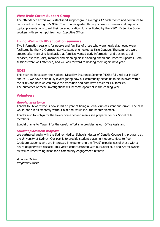## **West Ryde Carers Support Group**

The attendance at this well-established support group averages 12 each month and continues to be hosted by Huntington's NSW. The group is guided through current concerns and requests topical presentations to aid their carer education. It is facilitated by the NSW HD Service Social Workers with some input from our Executive Officer.

## **Living Well with HD education seminars**

Two information sessions for people and families of those who were newly diagnosed were facilitated by the HD Outreach Service staff, one hosted at Elsie Cottage. The seminars were created after receiving feedback that families wanted early information and tips on social services, exercise; diet; memory and planning aids; planning ahead and research updates. Both sessions were well attended, and we look forward to hosting them again next year.

#### **NDIS**

This year we have seen the National Disability Insurance Scheme (NDIS) fully roll out in NSW and ACT. We have been busy investigating how our community needs us to be involved within the NDIS and how we can make the transition and pathways easier for HD families. The outcomes of these investigations will become apparent in the coming year.

### **Volunteers**

#### **Regular assistance**

Thanks to Stewart who is now in his 4<sup>th</sup> year of being a Social club assistant and driver. The club would not run as smoothly without him and would lack the banter element.

Thanks also to Robyn for the lovely home cooked meals she prepares for our Social club members.

Special thanks to Masumi for the careful effort she provides as our Office Assistant.

#### **Student placement program**

We partnered again with the Sydney Medical School's Master of Genetic Counselling program, at the University of Sydney. Our part is to provide student placement opportunities to Post Graduate students who are interested in experiencing the "lived" experiences of those with a neuro degenerative disease. This year's cohort assisted with our Social club and Art fellowship as well as researching ideas for a community engagement initiative.

Amanda Dickey Programs Officer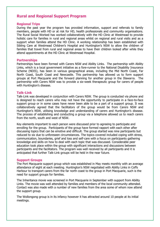# **Rural and Regional Support Program**

#### **Regional Trips**

During the past year the program has provided information, support and referrals to family members, people with HD or at risk for HD, health professionals and community organisations. The Rural Social Worked has worked collaboratively with the HD Clinic at Westmead to provide holistic care for families in rural and regional areas whilst on regional and rural visits and as a support when families attend the HD Clinic. A working relationship has been established with Sibling Care at Westmead Children's Hospital and Huntington's NSW to allow the children of families that travel from rural and regional areas to have their children looked after while they attend appointments at the HD Clinic at Westmead Hospital.

#### **Partnerships**

Partnerships have been formed with Carers NSW and Ability Links. The partnership with Ability Links, which is a local government initiative as a fore-runner to the National Disability Insurance Scheme (NDIS), has been in various geographical areas, including the Mid North Coast, Far North Coast, South Coast and Newcastle. This partnership has allowed us to form support groups at Port Macquarie and the forward planning for another group in the Illawarra. The partnership with Carers NSW was to provide a six-week therapeutic group for carers of people with Huntington's disease.

#### **Talk-Link**

Talk-Link was developed in conjunction with Carers NSW. The group is conducted via phone and is designed to reach carers who may not have the opportunity to participate in a face-to-face support group or in some cases have never been able to be a part of a support group. It was collaboratively agreed that the facilitators of the group would be from Carers NSW and Huntington's NSW, utilising knowledge and understanding of carers and Huntington's disease. The process of establishing and conducting a group via a telephone allowed us to reach carers from the north, south and west of NSW.

Key elements important to each person were discussed prior to agreeing to participate and enrolling for the group. Participants of the group have formed rapport with each other after discussing topics that can be emotive and difficult. The group started was nine participants but reduced to six due to unforeseen circumstances. The topics covered included coping with stress, communication, boundaries, grief and loss and self-care with a focus on participants gathering knowledge and skills on how to deal with each topic that was discussed. Considerable peer education took place within the group with significant interactions and discussions between participants and the facilitators. The program was well received by all participants and it is anticipated that further Talk-Link groups will be held in the near future.

#### **Support Groups**

The Port Macquarie support group which was established in May meets monthly with an average attendance of eight at each meeting. Huntington's NSW negotiated with Ability Links in Coffs Harbour to transport carers from the far north coast to the group in Port Macquarie, such is the need for support groups for families.

The Inheritance movie was screened in Port Macquarie in September with support from Ability Links. The movie was well attended by families and members of the local community attended. Contact was also made with a number of new families from the area some of whom now attend the support group.

The Wollongong group is in its infancy however it has attracted around 10 people at its initial meetings.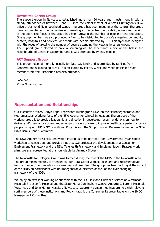#### **Newcastle Carers Group**

The support group in Newcastle, established more than 20 years ago, meets monthly with a steady attendance of between 6 and 9. Since the establishment of a small Huntington's NSW office at Jesmond Neighbourhood Centre, the group has been meeting at the centre. The group have commented on the convenience of meeting at the centre, the disability access and parking at the door. The focus of the group has been growing the number of people attend the group. One group member has also produced a flyer to be distributed to doctor's surgeries, community centers, hospitals and services who work with people effected by HD. This flyer was designed with the focus of growing the number of people attending the Newcastle carers group. The support group elected to have a screening of The Inheritance movie at the hall in the Neighbourhood Centre in September and it was attended by twenty people.

# **ACT Support Group**

This group meets bi-monthly, usually for Saturday lunch and is attended by families from Canberra and surrounding areas. It is facilitated by Felicity O'Neil and when possible a staff member from the Association has also attended.

Julie Leto Rural Social Worker

# **Representation and Relationships**

Our Executive Officer, Robyn Kapp, represents Huntington's NSW on the Neurodegenerative and Neuromuscular Working Party of the NSW Agency for Clinical Innovation. The purpose of the working group is to provide leadership and direction in developing recommendations on how to deliver and/or enhance current and emerging models of care to improve health care performance for people living with ND & NM conditions. Robyn is also the Support Group Representative on the NSW Brain Banks Donor Committee.

The NSW Agency for Clinical Innovation invited us to be part of a Non-Government Organisation workshop to consult on, and provide input to, two projects: the development of a Consumer Enablement Framework and the NSW Telehealth Framework and Implementation Strategy work plan. We are represented at this roundtable by Amanda Dickey.

The Newcastle Neurological Group was formed during the trial of the NDIS in the Newcastle area. The group meets monthly is attended by our Rural Social Worker, Julie Leto and representatives from a number of organisations for neurological disorders. The group has been looking at the impact of the NDIS on participants with neurodegenerative diseases as well as the ever changing framework of the NDIA.

We enjoy an excellent working relationship with the HD Clinic and Outreach Service at Westmead Hospital; St Joseph's Hospital and the Sister Maria Cunningham Centre, Auburn; Children's Hospital, Westmead and John Hunter Hospital, Newcastle. Quarterly Liaison meetings are held with relevant staff members of these institutions and Robyn Kapp is the Consumer Representative on the SMCC Management Committee.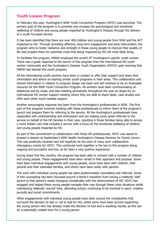# **Youth Liaison Program**

In February this year, Huntington's NSW Youth Connection Program (HDYC) was launched. The primary goal of this program is to promote and increase the psychological and emotional wellbeing of children and young people impacted by Huntington's Disease through the delivery of a youth focussed service.

It has been identified that there are over 400 children and young people from NSW and the ACT impacted by HD. Through providing effective, long term engagement and early intervention, the program aims to foster resilience and strength in these young people to improve their quality of life and prepare them for potential crises that being impacted by HD will most likely bring.

To facilitate this program, HNSW employed the world's  $8<sup>th</sup>$  Huntington's specific youth worker. There was a great response to the launch of this program from the international HD youth worker community and the Huntington's Disease Youth Organisation (HDYO) upon learning that HNSW had started this youth program.

All the international youth workers have been in contact to offer their support and share their information and advice on starting similar youth programs in their areas. This collaboration and shared information in relation to program design has been and will continue to be an invaluable resource for the NSW Youth Connection Program. All workers have been communicating on telephone and by email, and also meeting periodically throughout the year on skype for an international HD worker support meeting where they are able to share ideas, case studies and offer each other much needed support.

Another encouraging response has been from the Huntington's professionals in NSW. The first part of this program involved meeting with these professionals to inform them of the program's launch and prepare them for referring to the service. All the Huntington's professionals have responded with understanding and enthusiasm and are making some great referrals to the service on behalf of the HD families in their care, resulting in these families being able to access a more holistic care that includes a service with a focus on the emotional wellbeing of children and young people impacted by HD.

As part of the commitment to collaboration with these HD professionals, HDYC was asked to present a session at September's NSW Health Huntington's Disease Seminar for Family Carers. This was positively received and will hopefully be the start of many such collaborative interagency events for HDYC. This continued work together is the key to this program being ongoing and successful and has, so far been a very positive experience.

During these first few months, the program has been able to connect with a number of children and young people. These engagements have been varied in their approach and purpose. Some have been individual engagements with young people, some have been with children, their parents and their extended families, and others have been solely with parents.

The work with individual young people has been predominately counselling and referrals. Some of this counselling has been focussed around a family's transition from having a relatively 'well' parent to that parent's needs changing considerably with the advancement of HD. HDYC has engaged and helped these young people navigate their way through these crisis situations whilst maintaining relatively 'normal' lives, attending school, continuing to be involved in sport, creative pursuits and social commitments.

Other engagements with individual young people have been around the complexities that surround the decision to test or not to test for HD, whilst some have been around supporting the young person who has already made the decision to test and is awaiting results, as this can be a potentially volatile time for a young person.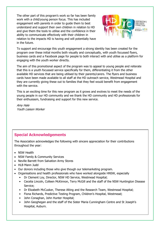The other part of this program's work so far has been family work with a child/young person focus. This has included engagement with parents in order to guide them to best understand and support their own children in relation to HD and give them the tools to utilise and the confidence in their ability to communicate effectively with their children in relation to the impacts HD is having and will potentially have in the future.



To support and encourage this youth engagement a strong identity has been created for the program over these initial months both visually and conceptually, with youth focussed flyers, business cards and a Facebook page for people to both interact with and utilise as a platform for engaging with the youth worker directly.

The aim of this promotional aspect of the program was to appeal to young people and reiterate that this is a youth focussed service specifically for them, differentiating it from the other available HD services that are being utilised by their parents/carers. The flyers and business cards have been made available to all staff at the HD outreach service, Westmead Hospital and they are currently giving these out to families that they feel would benefit from engagement with the service.

This is an exciting time for this new program as it grows and evolves to meet the needs of the young people in our HD community and we thank the HD community and HD professionals for their enthusiasm, fundraising and support for this new service.

Amy Hale Youth Liaison Worker

# **Special Acknowledgements**

The Association acknowledges the following with sincere appreciation for their contributions throughout the year:

- NSW Health
- NSW Family & Community Services
- Neville Barrett from Salvation Army Stores
- HLB Mann Judd
- Our donors including those who give though our telemarketing program.
- Organisations and health professionals who have worked alongside HNSW, especially
	- Dr Clement Loy, Director, NSW HD Service, Westmead Hospital;
	- Cecelia Lincoln, Colleen McKinnon, Terry McGill and the staff of the NSW Huntington Disease Service;
	- Dr Elizabeth McCusker, Therese Alting and the Research Team, Westmead Hospital;
	- Fiona Richards, Predictive Testing Program, Children's Hospital, Westmead;
	- John Conaghan, John Hunter Hospital;
	- John Geoghegan and the staff of the Sister Maria Cunningham Centre and St Joseph's Hospital, Auburn.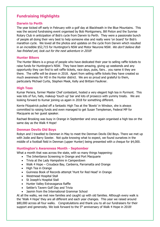# **Fundraising Highlights**

# **Darwin to Perth**

The year kicked off early in February with a golf day at Blackheath in the Blue Mountains. This was the second fundraising event organised by Bob Montgomery, Bill Pixton and the Sunrise Rotary Club in anticipation of Bob's cycle from Darwin to Perth. They were a passionate bunch of people all doing their very best to help someone else and really were 'on board' for Bob's marathon cycle. We loved all the photos and updates on the cycle from Darwin which resulted in an incredible \$52,715 for Huntington's NSW and Motor Neurone NSW. We don't believe Bob has finished yet, look out for the next adventure in 2018!

# **Hunter Bikers**

The Hunter Bikers is a group of people who have dedicated their year to selling raffle tickets to raise funds for Huntington's NSW. They have been amazing, giving up weekends and any opportunity they can find to sell raffle tickets, race days, pubs, fairs… you name it they are there. The raffle will be drawn in 2018. Apart from selling raffle tickets they have created so much awareness for HD in the Hunter district. We are so proud and grateful to them, particularly Michael Curtis, Stephen Meek, Kelly and Brittani Faulkner.

# **High Teas**

Kumar Periera, former Master Chef contestant, hosted a very elegant high tea in Pyrmont. This was lots of fun, hats, makeup 'touch up' bar and lots of prosecco with yummy treats. We are looking forward to Kumar joining us again in 2018 for something different.

Kerrie Fitzpatrick pulled off a fantastic High Tea at the 'Bowlo' in Windsor, she is always committed to raising funds and even managed to get Susan Templeman, Federal MP for Macquarie as her guest speaker.

Rachael Brooking was busy in Orange in September and once again organised a high tea on the same day as the Walk 4 Hope!

# **Denman Devils Old Boys**

Robyn and I travelled to Denman in May to meet the Denman Devils Old Boys. There we met up with Jodie and Barry Sowter. Not quite knowing what to expect, we found ourselves in the middle of a football field in Denman (upper Hunter) being presented with a cheque for \$4,000.

# **Huntington's Awareness Month - September**

What a month that was across the state, with so many things happening:

- The Inheritance Screening in Orange and Port Macquarie
- Trivia at the Lady Hampshire in Camperdown
- Walk 4 Hope Croudace Bay, Canberra, Parramatta and Orange
- High Tea in Orange
- Guinness Book of Records attempt 'Hunt for Red Head' in Orange
- Westmead Hospital Stall
- St Joseph's Hospital Stall
- Hunter Valley Extravaganza Raffle
- Settler's Tavern Golf Day and Trivia
- Jasmin from the International Grammar School

At all the walks, we met new families and caught up with old families. Although every walk is the 'Walk 4 Hope' they are all different and each year changes. This year we raised around \$80,000 across all four walks. Congratulations and thank you to all our fundraisers for their support and generosity. We look forward to the  $5<sup>th</sup>$  anniversary of Walk 4 Hope in 2018!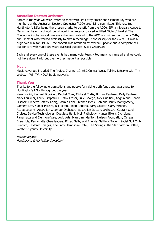#### **Australian Doctors Orchestra**

Earlier in the year we were invited to meet with Drs Cathy Fraser and Clement Loy who are members of the Australian Doctors Orchestra (ADO) organising committee. This resulted Huntington's NSW being the chosen charity to benefit from the ADO's 25<sup>th</sup> anniversary concert. Many months of hard work culminated in a fantastic concert entitled "Bolero" held at The Concourse in Chatswood. We are extremely grateful to the ADO committee, particularly Cathy and Clement who worked tirelessly to obtain meaningful sponsorship for the event. It was a huge 'win win' for HNSW – the concert was attended by over 900 people and a complete sellout concert with major drawcard classical guitarist, Slava Grigoryan.

Each and every one of these events had many volunteers – too many to name all and we could not have done it without them – they made it all possible.

#### **Media**

Media coverage included The Project Channel 10, ABC Central West, Talking Lifestyle with Tim Webster, Win TV, NOVA Radio network.

#### **Thank You**

Thanks to the following organisations and people for raising both funds and awareness for Huntington's NSW throughout the year.

Veronica Ali, Rachael Brooking, Rachel Cook, Michael Curtis, Brittani Faulkner, Kelly Faulkner, Mark Faulkner, Kerrie Fitzpatrick, Cathy Fraser, Julie George, Alex Gualtieri, Angela and Dennis Hiscock, Glenette Jeffrey-Konig, Jasmin Kohl, Stephen Meek, Bob and Jenny Montgomery, Clement Loy, Kumar Pereira, Bill Pixton, Aiden Roberts, Barry Sowter, Garry Wrench. Active Locums, Australian Chamber Orchestra, Australian Doctors Orchestra, Captain Cook Cruises, Device Technologies, Douglass Hanly Moir Pathology, Hunter Biker's Inc, Lions, Parramatta and Elermore Vale, Loviz Arts, Maui Jim, Meriton, Neilson Foundation, Omega Ensemble, Parramatta Cheerleaders, Pfizer, Selby and Friends, Settler's Tavern Social Golf Club, Suncorp, Taylored Images, The Lady Hampshire Hotel, The Springs, The Star, Vittoria Coffee, Western Sydney University.

Pauline Keyvar Fundraising & Marketing Consultant